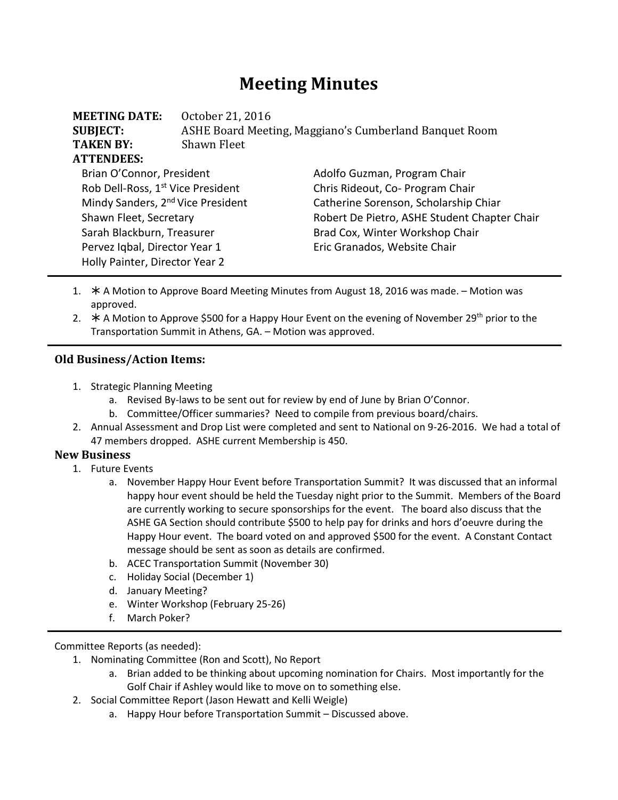# **Meeting Minutes**

| <b>MEETING DATE:</b>                          | October 21, 2016                                       |                                              |  |
|-----------------------------------------------|--------------------------------------------------------|----------------------------------------------|--|
| <b>SUBJECT:</b>                               | ASHE Board Meeting, Maggiano's Cumberland Banquet Room |                                              |  |
| <b>TAKEN BY:</b>                              | Shawn Fleet                                            |                                              |  |
| <b>ATTENDEES:</b>                             |                                                        |                                              |  |
| Brian O'Connor, President                     |                                                        | Adolfo Guzman, Program Chair                 |  |
| Rob Dell-Ross, 1 <sup>st</sup> Vice President |                                                        | Chris Rideout, Co- Program Chair             |  |
| Mindy Sanders, 2 <sup>nd</sup> Vice President |                                                        | Catherine Sorenson, Scholarship Chiar        |  |
| Shawn Fleet, Secretary                        |                                                        | Robert De Pietro, ASHE Student Chapter Chair |  |
| Sarah Blackburn, Treasurer                    |                                                        | Brad Cox, Winter Workshop Chair              |  |
| Pervez Iqbal, Director Year 1                 |                                                        | Eric Granados, Website Chair                 |  |
| Holly Painter, Director Year 2                |                                                        |                                              |  |

- 1. \* A Motion to Approve Board Meeting Minutes from August 18, 2016 was made. Motion was approved.
- 2.  $\star$  A Motion to Approve \$500 for a Happy Hour Event on the evening of November 29<sup>th</sup> prior to the Transportation Summit in Athens, GA. – Motion was approved.

#### **Old Business/Action Items:**

- 1. Strategic Planning Meeting
	- a. Revised By-laws to be sent out for review by end of June by Brian O'Connor.
	- b. Committee/Officer summaries? Need to compile from previous board/chairs.
- 2. Annual Assessment and Drop List were completed and sent to National on 9-26-2016. We had a total of 47 members dropped. ASHE current Membership is 450.

#### **New Business**

- 1. Future Events
	- a. November Happy Hour Event before Transportation Summit? It was discussed that an informal happy hour event should be held the Tuesday night prior to the Summit. Members of the Board are currently working to secure sponsorships for the event. The board also discuss that the ASHE GA Section should contribute \$500 to help pay for drinks and hors d'oeuvre during the Happy Hour event. The board voted on and approved \$500 for the event. A Constant Contact message should be sent as soon as details are confirmed.
	- b. ACEC Transportation Summit (November 30)
	- c. Holiday Social (December 1)
	- d. January Meeting?
	- e. Winter Workshop (February 25-26)
	- f. March Poker?

Committee Reports (as needed):

- 1. Nominating Committee (Ron and Scott), No Report
	- a. Brian added to be thinking about upcoming nomination for Chairs. Most importantly for the Golf Chair if Ashley would like to move on to something else.
- 2. Social Committee Report (Jason Hewatt and Kelli Weigle)
	- a. Happy Hour before Transportation Summit Discussed above.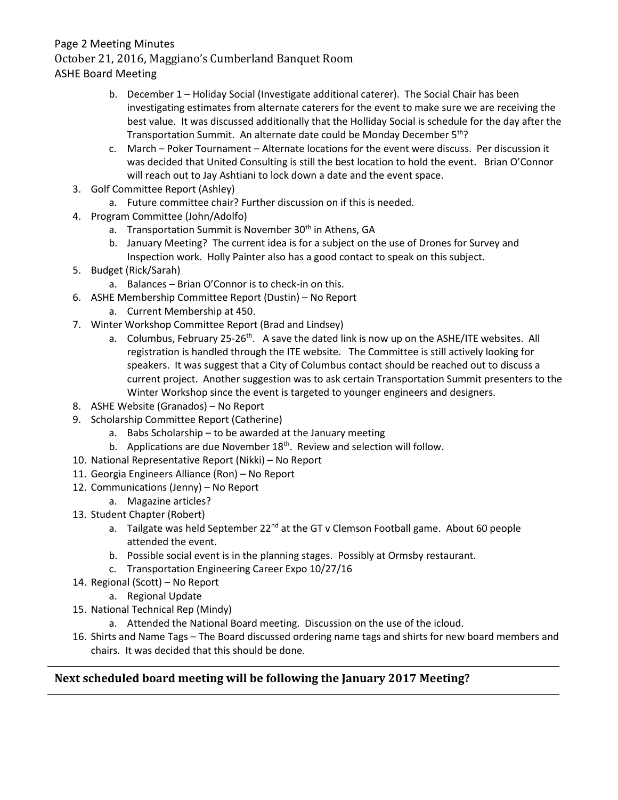#### Page 2 Meeting Minutes

October 21, 2016, Maggiano's Cumberland Banquet Room

ASHE Board Meeting

- b. December 1 Holiday Social (Investigate additional caterer). The Social Chair has been investigating estimates from alternate caterers for the event to make sure we are receiving the best value. It was discussed additionally that the Holliday Social is schedule for the day after the Transportation Summit. An alternate date could be Monday December 5<sup>th</sup>?
- c. March Poker Tournament Alternate locations for the event were discuss. Per discussion it was decided that United Consulting is still the best location to hold the event. Brian O'Connor will reach out to Jay Ashtiani to lock down a date and the event space.
- 3. Golf Committee Report (Ashley)
	- a. Future committee chair? Further discussion on if this is needed.
- 4. Program Committee (John/Adolfo)
	- a. Transportation Summit is November 30<sup>th</sup> in Athens, GA
	- b. January Meeting? The current idea is for a subject on the use of Drones for Survey and Inspection work. Holly Painter also has a good contact to speak on this subject.
- 5. Budget (Rick/Sarah)
	- a. Balances Brian O'Connor is to check-in on this.
- 6. ASHE Membership Committee Report (Dustin) No Report
	- a. Current Membership at 450.
- 7. Winter Workshop Committee Report (Brad and Lindsey)
	- a. Columbus, February 25-26<sup>th</sup>. A save the dated link is now up on the ASHE/ITE websites. All registration is handled through the ITE website. The Committee is still actively looking for speakers. It was suggest that a City of Columbus contact should be reached out to discuss a current project. Another suggestion was to ask certain Transportation Summit presenters to the Winter Workshop since the event is targeted to younger engineers and designers.
- 8. ASHE Website (Granados) No Report
- 9. Scholarship Committee Report (Catherine)
	- a. Babs Scholarship to be awarded at the January meeting
	- b. Applications are due November  $18<sup>th</sup>$ . Review and selection will follow.
- 10. National Representative Report (Nikki) No Report
- 11. Georgia Engineers Alliance (Ron) No Report
- 12. Communications (Jenny) No Report
	- a. Magazine articles?
- 13. Student Chapter (Robert)
	- a. Tailgate was held September 22<sup>nd</sup> at the GT v Clemson Football game. About 60 people attended the event.
	- b. Possible social event is in the planning stages. Possibly at Ormsby restaurant.
	- c. Transportation Engineering Career Expo 10/27/16
- 14. Regional (Scott) No Report
	- a. Regional Update
- 15. National Technical Rep (Mindy)
	- a. Attended the National Board meeting. Discussion on the use of the icloud.
- 16. Shirts and Name Tags The Board discussed ordering name tags and shirts for new board members and chairs. It was decided that this should be done.

## **Next scheduled board meeting will be following the January 2017 Meeting?**